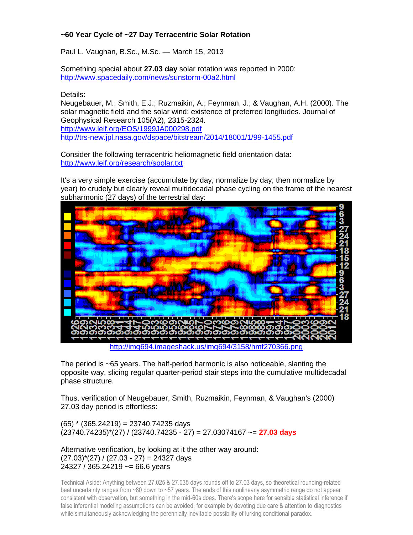## **~60 Year Cycle of ~27 Day Terracentric Solar Rotation**

Paul L. Vaughan, B.Sc., M.Sc. — March 15, 2013

Something special about **27.03 day** solar rotation was reported in 2000: <http://www.spacedaily.com/news/sunstorm-00a2.html>

Details:

Neugebauer, M.; Smith, E.J.; Ruzmaikin, A.; Feynman, J.; & Vaughan, A.H. (2000). The solar magnetic field and the solar wind: existence of preferred longitudes. Journal of Geophysical Research 105(A2), 2315-2324. <http://www.leif.org/EOS/1999JA000298.pdf> <http://trs-new.jpl.nasa.gov/dspace/bitstream/2014/18001/1/99-1455.pdf>

Consider the following terracentric heliomagnetic field orientation data: <http://www.leif.org/research/spolar.txt>

It's a very simple exercise (accumulate by day, normalize by day, then normalize by year) to crudely but clearly reveal multidecadal phase cycling on the frame of the nearest subharmonic (27 days) of the terrestrial day:



<http://img694.imageshack.us/img694/3158/hmf270366.png>

The period is ~65 years. The half-period harmonic is also noticeable, slanting the opposite way, slicing regular quarter-period stair steps into the cumulative multidecadal phase structure.

Thus, verification of Neugebauer, Smith, Ruzmaikin, Feynman, & Vaughan's (2000) 27.03 day period is effortless:

 $(65)$  \*  $(365.24219) = 23740.74235$  days (23740.74235)\*(27) / (23740.74235 - 27) = 27.03074167 ~= **27.03 days**

Alternative verification, by looking at it the other way around:  $(27.03)$ <sup>\*</sup> $(27)$  /  $(27.03 - 27) = 24327$  days 24327 / 365.24219 ~= 66.6 years

Technical Aside: Anything between 27.025 & 27.035 days rounds off to 27.03 days, so theoretical rounding-related beat uncertainty ranges from ~80 down to ~57 years. The ends of this nonlinearly asymmetric range do not appear consistent with observation, but something in the mid-60s does. There's scope here for sensible statistical inference if false inferential modeling assumptions can be avoided, for example by devoting due care & attention to diagnostics while simultaneously acknowledging the perennially inevitable possibility of lurking conditional paradox.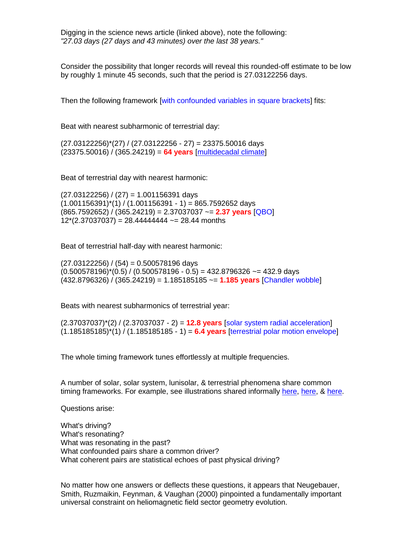Digging in the science news article (linked above), note the following: *"27.03 days (27 days and 43 minutes) over the last 38 years."*

Consider the possibility that longer records will reveal this rounded-off estimate to be low by roughly 1 minute 45 seconds, such that the period is 27.03122256 days.

Then the following framework [with confounded variables in square brackets] fits:

Beat with nearest subharmonic of terrestrial day:

 $(27.03122256)^*(27)$  /  $(27.03122256 - 27) = 23375.50016$  days (23375.50016) / (365.24219) = **64 years** [\[multidecadal climate\]](http://www.springerlink.com/content/p1275t4383874p65/MediaObjects/382_2011_1071_Fig4_HTML.gif)

Beat of terrestrial day with nearest harmonic:

 $(27.03122256) / (27) = 1.001156391$  days  $(1.001156391)^*(1)$  /  $(1.001156391 - 1) = 865.7592652$  days (865.7592652) / (365.24219) = 2.37037037 ~= **2.37 years** [QBO]  $12*(2.37037037) = 28.44444444 = 28.44$  months

Beat of terrestrial half-day with nearest harmonic:

 $(27.03122256) / (54) = 0.500578196$  days  $(0.500578196)^*(0.5) / (0.500578196 - 0.5) = 432.8796326 \approx 432.9$  days (432.8796326) / (365.24219) = 1.185185185 ~= **1.185 years** [Chandler wobble]

Beats with nearest subharmonics of terrestrial year:

(2.37037037)\*(2) / (2.37037037 - 2) = **12.8 years** [solar system radial acceleration]  $(1.185185185)^*(1)$  /  $(1.185185185 - 1) = 6.4$  **years** [terrestrial polar motion envelope]

The whole timing framework tunes effortlessly at multiple frequencies.

A number of solar, solar system, lunisolar, & terrestrial phenomena share common timing frameworks. For example, see illustrations shared informally [here,](http://www.billhowell.ca/Paul%20L%20Vaughan/Vaughan%20130224%20-%20Solar%20Terrestrial%20Volatility%20Waves.pdf) [here,](http://wattsupwiththat.files.wordpress.com/2011/10/vaughn-sun-earth-moon-harmonies-beats-biases.pdf) & [here.](http://www.billhowell.ca/Paul%20L%20Vaughan/Vaughan%20120324%20Solar-Terrestrial%20Resonance,%20Climate%20Shifts,%20&%20the%20Chandler%20Wobble%20Phase%20Reversal.pdf)

Questions arise:

What's driving? What's resonating? What was resonating in the past? What confounded pairs share a common driver? What coherent pairs are statistical echoes of past physical driving?

No matter how one answers or deflects these questions, it appears that Neugebauer, Smith, Ruzmaikin, Feynman, & Vaughan (2000) pinpointed a fundamentally important universal constraint on heliomagnetic field sector geometry evolution.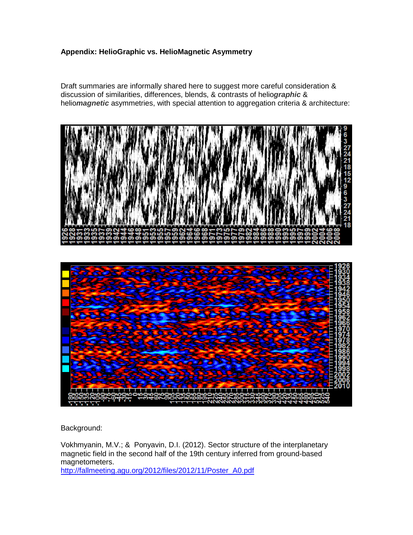## **Appendix: HelioGraphic vs. HelioMagnetic Asymmetry**

Draft summaries are informally shared here to suggest more careful consideration & discussion of similarities, differences, blends, & contrasts of helio*graphic* & helio*magnetic* asymmetries, with special attention to aggregation criteria & architecture:



Background:

Vokhmyanin, M.V.; & Ponyavin, D.I. (2012). Sector structure of the interplanetary magnetic field in the second half of the 19th century inferred from ground-based magnetometers.

[http://fallmeeting.agu.org/2012/files/2012/11/Poster\\_A0.pdf](http://fallmeeting.agu.org/2012/files/2012/11/Poster_A0.pdf)